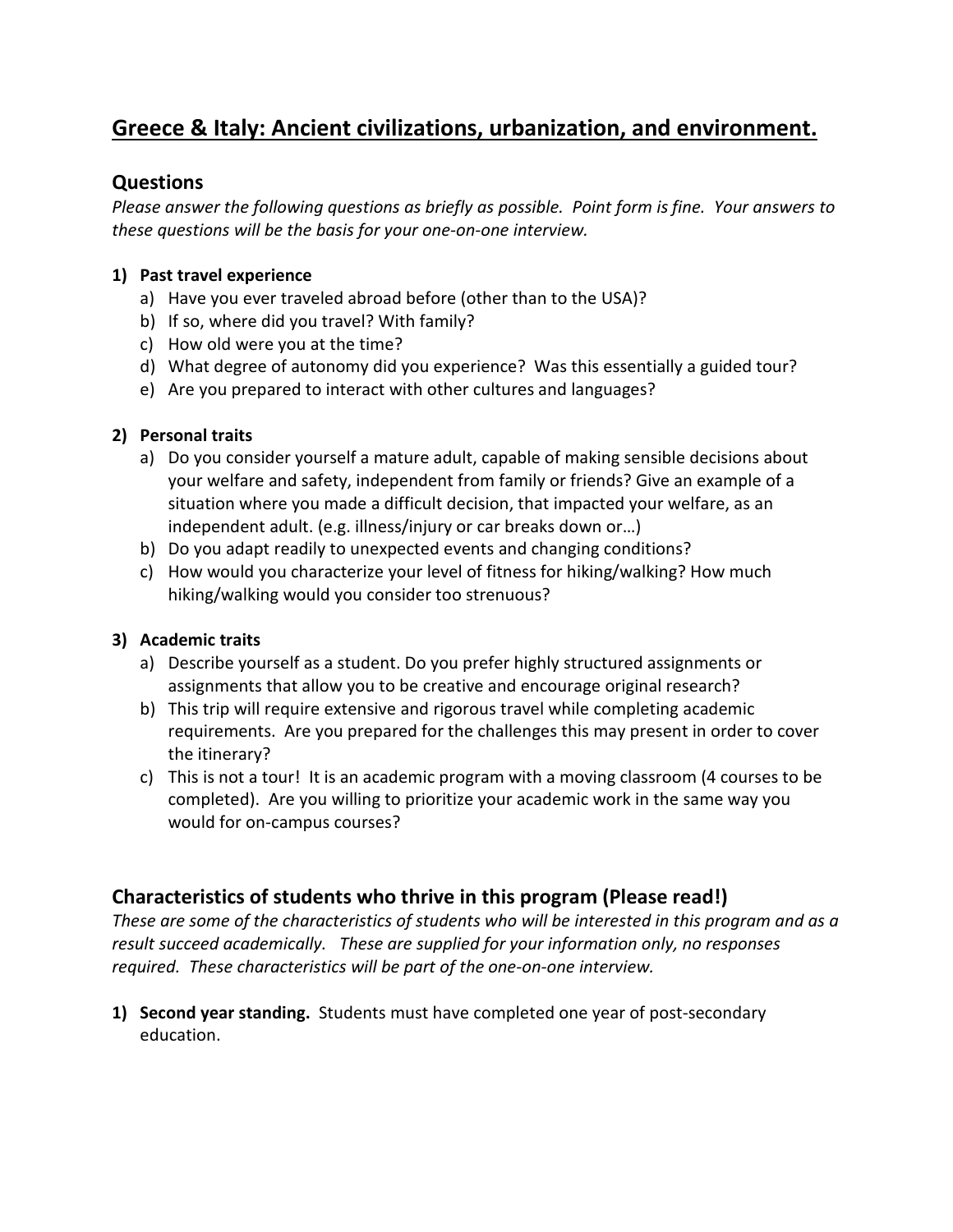# **Greece & Italy: Ancient civilizations, urbanization, and environment.**

#### **Questions**

*Please answer the following questions as briefly as possible. Point form is fine. Your answers to these questions will be the basis for your one-on-one interview.*

#### **1) Past travel experience**

- a) Have you ever traveled abroad before (other than to the USA)?
- b) If so, where did you travel? With family?
- c) How old were you at the time?
- d) What degree of autonomy did you experience? Was this essentially a guided tour?
- e) Are you prepared to interact with other cultures and languages?

#### **2) Personal traits**

- a) Do you consider yourself a mature adult, capable of making sensible decisions about your welfare and safety, independent from family or friends? Give an example of a situation where you made a difficult decision, that impacted your welfare, as an independent adult. (e.g. illness/injury or car breaks down or…)
- b) Do you adapt readily to unexpected events and changing conditions?
- c) How would you characterize your level of fitness for hiking/walking? How much hiking/walking would you consider too strenuous?

### **3) Academic traits**

- a) Describe yourself as a student. Do you prefer highly structured assignments or assignments that allow you to be creative and encourage original research?
- b) This trip will require extensive and rigorous travel while completing academic requirements. Are you prepared for the challenges this may present in order to cover the itinerary?
- c) This is not a tour! It is an academic program with a moving classroom (4 courses to be completed). Are you willing to prioritize your academic work in the same way you would for on-campus courses?

## **Characteristics of students who thrive in this program (Please read!)**

*These are some of the characteristics of students who will be interested in this program and as a result succeed academically. These are supplied for your information only, no responses required. These characteristics will be part of the one-on-one interview.*

**1) Second year standing.** Students must have completed one year of post-secondary education.